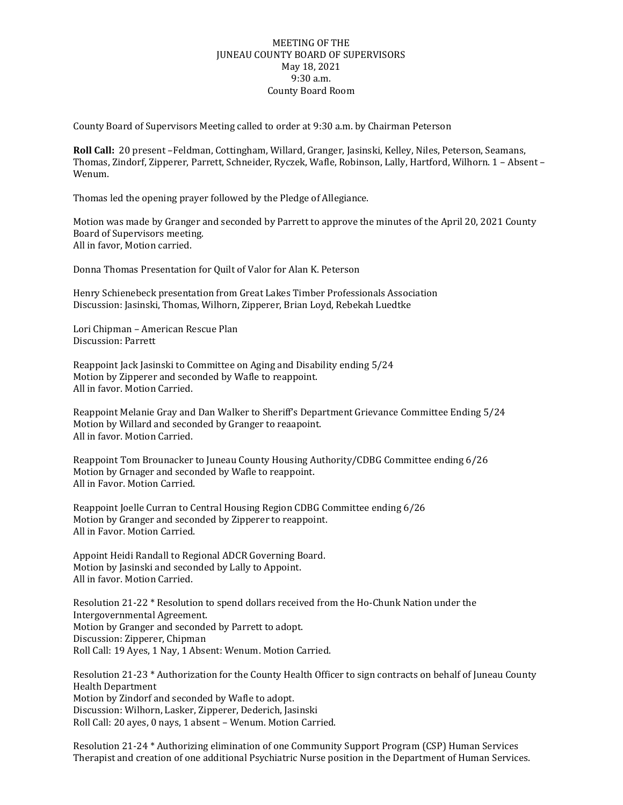## MEETING OF THE JUNEAU COUNTY BOARD OF SUPERVISORS May 18, 2021 9:30 a.m. County Board Room

County Board of Supervisors Meeting called to order at 9:30 a.m. by Chairman Peterson

**Roll Call:** 20 present –Feldman, Cottingham, Willard, Granger, Jasinski, Kelley, Niles, Peterson, Seamans, Thomas, Zindorf, Zipperer, Parrett, Schneider, Ryczek, Wafle, Robinson, Lally, Hartford, Wilhorn. 1 – Absent – Wenum.

Thomas led the opening prayer followed by the Pledge of Allegiance.

Motion was made by Granger and seconded by Parrett to approve the minutes of the April 20, 2021 County Board of Supervisors meeting. All in favor, Motion carried.

Donna Thomas Presentation for Quilt of Valor for Alan K. Peterson

Henry Schienebeck presentation from Great Lakes Timber Professionals Association Discussion: Jasinski, Thomas, Wilhorn, Zipperer, Brian Loyd, Rebekah Luedtke

Lori Chipman – American Rescue Plan Discussion: Parrett

Reappoint Jack Jasinski to Committee on Aging and Disability ending 5/24 Motion by Zipperer and seconded by Wafle to reappoint. All in favor. Motion Carried.

Reappoint Melanie Gray and Dan Walker to Sheriff's Department Grievance Committee Ending 5/24 Motion by Willard and seconded by Granger to reaapoint. All in favor. Motion Carried.

Reappoint Tom Brounacker to Juneau County Housing Authority/CDBG Committee ending 6/26 Motion by Grnager and seconded by Wafle to reappoint. All in Favor. Motion Carried.

Reappoint Joelle Curran to Central Housing Region CDBG Committee ending 6/26 Motion by Granger and seconded by Zipperer to reappoint. All in Favor. Motion Carried.

Appoint Heidi Randall to Regional ADCR Governing Board. Motion by Jasinski and seconded by Lally to Appoint. All in favor. Motion Carried.

Resolution 21-22 \* Resolution to spend dollars received from the Ho-Chunk Nation under the Intergovernmental Agreement. Motion by Granger and seconded by Parrett to adopt. Discussion: Zipperer, Chipman Roll Call: 19 Ayes, 1 Nay, 1 Absent: Wenum. Motion Carried.

Resolution 21-23 \* Authorization for the County Health Officer to sign contracts on behalf of Juneau County Health Department Motion by Zindorf and seconded by Wafle to adopt. Discussion: Wilhorn, Lasker, Zipperer, Dederich, Jasinski Roll Call: 20 ayes, 0 nays, 1 absent – Wenum. Motion Carried.

Resolution 21-24 \* Authorizing elimination of one Community Support Program (CSP) Human Services Therapist and creation of one additional Psychiatric Nurse position in the Department of Human Services.